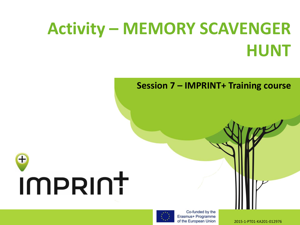## **Activity – MEMORY SCAVENGER HUNT**

**Session 7 – IMPRINT+ Training course** 





Co-funded by the Erasmus+ Programme of the European Union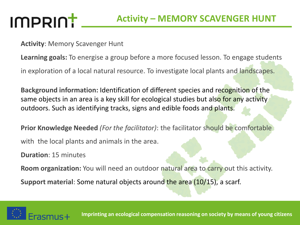### IMPRINT

**Activity**: Memory Scavenger Hunt

**Learning goals:** To energise a group before a more focused lesson. To engage students

in exploration of a local natural resource. To investigate local plants and landscapes.

**Background information:** Identification of different species and recognition of the same objects in an area is a key skill for ecological studies but also for any activity outdoors. Such as identifying tracks, signs and edible foods and plants.

**Prior Knowledge Needed** *(For the facilitator)*: the facilitator should be comfortable with the local plants and animals in the area.

**Duration**: 15 minutes

**Room organization:** You will need an outdoor natural area to carry out this activity.

**Support material**: Some natural objects around the area (10/15), a scarf.



**Imprinting an ecological compensation reasoning on society by means of young citizens**